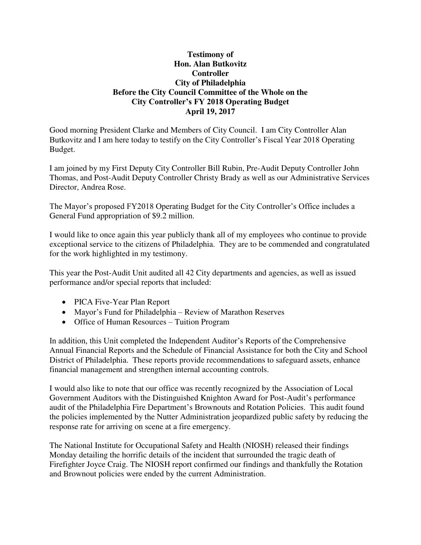## **Testimony of Hon. Alan Butkovitz Controller City of Philadelphia Before the City Council Committee of the Whole on the City Controller's FY 2018 Operating Budget April 19, 2017**

Good morning President Clarke and Members of City Council. I am City Controller Alan Butkovitz and I am here today to testify on the City Controller's Fiscal Year 2018 Operating Budget.

I am joined by my First Deputy City Controller Bill Rubin, Pre-Audit Deputy Controller John Thomas, and Post-Audit Deputy Controller Christy Brady as well as our Administrative Services Director, Andrea Rose.

The Mayor's proposed FY2018 Operating Budget for the City Controller's Office includes a General Fund appropriation of \$9.2 million.

I would like to once again this year publicly thank all of my employees who continue to provide exceptional service to the citizens of Philadelphia. They are to be commended and congratulated for the work highlighted in my testimony.

This year the Post-Audit Unit audited all 42 City departments and agencies, as well as issued performance and/or special reports that included:

- PICA Five-Year Plan Report
- Mayor's Fund for Philadelphia Review of Marathon Reserves
- Office of Human Resources Tuition Program

In addition, this Unit completed the Independent Auditor's Reports of the Comprehensive Annual Financial Reports and the Schedule of Financial Assistance for both the City and School District of Philadelphia. These reports provide recommendations to safeguard assets, enhance financial management and strengthen internal accounting controls.

I would also like to note that our office was recently recognized by the Association of Local Government Auditors with the Distinguished Knighton Award for Post-Audit's performance audit of the Philadelphia Fire Department's Brownouts and Rotation Policies. This audit found the policies implemented by the Nutter Administration jeopardized public safety by reducing the response rate for arriving on scene at a fire emergency.

[The National Institute for Occupational Safety and Health \(NIOSH\)](https://www.google.com/url?sa=t&rct=j&q=&esrc=s&source=web&cd=1&cad=rja&uact=8&ved=0ahUKEwjVgaa8-q3TAhXILyYKHeoOCjEQFggkMAA&url=https%3A%2F%2Fwww.cdc.gov%2Fniosh%2F&usg=AFQjCNG74l1uWKpzNgmP-TM0lvDkPnIP6A) released their findings Monday detailing the horrific details of the incident that surrounded the tragic death of Firefighter Joyce Craig. The NIOSH report confirmed our findings and thankfully the Rotation and Brownout policies were ended by the current Administration.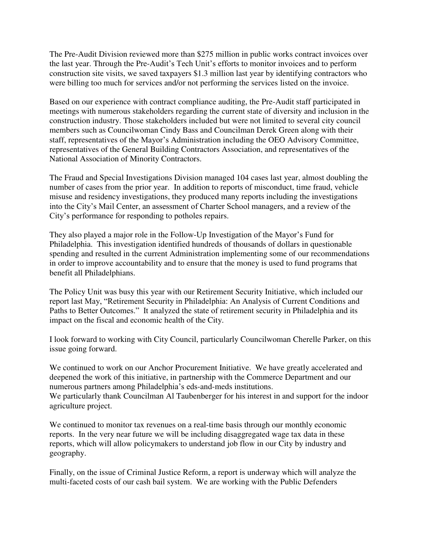The Pre-Audit Division reviewed more than \$275 million in public works contract invoices over the last year. Through the Pre-Audit's Tech Unit's efforts to monitor invoices and to perform construction site visits, we saved taxpayers \$1.3 million last year by identifying contractors who were billing too much for services and/or not performing the services listed on the invoice.

Based on our experience with contract compliance auditing, the Pre-Audit staff participated in meetings with numerous stakeholders regarding the current state of diversity and inclusion in the construction industry. Those stakeholders included but were not limited to several city council members such as Councilwoman Cindy Bass and Councilman Derek Green along with their staff, representatives of the Mayor's Administration including the OEO Advisory Committee, representatives of the General Building Contractors Association, and representatives of the National Association of Minority Contractors.

The Fraud and Special Investigations Division managed 104 cases last year, almost doubling the number of cases from the prior year. In addition to reports of misconduct, time fraud, vehicle misuse and residency investigations, they produced many reports including the investigations into the City's Mail Center, an assessment of Charter School managers, and a review of the City's performance for responding to potholes repairs.

They also played a major role in the Follow-Up Investigation of the Mayor's Fund for Philadelphia. This investigation identified hundreds of thousands of dollars in questionable spending and resulted in the current Administration implementing some of our recommendations in order to improve accountability and to ensure that the money is used to fund programs that benefit all Philadelphians.

The Policy Unit was busy this year with our Retirement Security Initiative, which included our report last May, "Retirement Security in Philadelphia: An Analysis of Current Conditions and Paths to Better Outcomes." It analyzed the state of retirement security in Philadelphia and its impact on the fiscal and economic health of the City.

I look forward to working with City Council, particularly Councilwoman Cherelle Parker, on this issue going forward.

We continued to work on our Anchor Procurement Initiative. We have greatly accelerated and deepened the work of this initiative, in partnership with the Commerce Department and our numerous partners among Philadelphia's eds-and-meds institutions. We particularly thank Councilman Al Taubenberger for his interest in and support for the indoor agriculture project.

We continued to monitor tax revenues on a real-time basis through our monthly economic reports. In the very near future we will be including disaggregated wage tax data in these reports, which will allow policymakers to understand job flow in our City by industry and geography.

Finally, on the issue of Criminal Justice Reform, a report is underway which will analyze the multi-faceted costs of our cash bail system. We are working with the Public Defenders